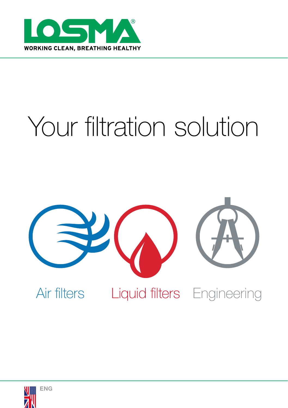

# Your filtration solution



Air filters Liquid filters Engineering

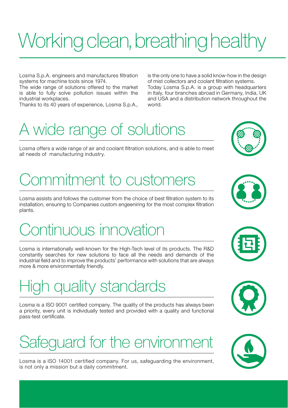# Working clean, breathing healthy

Losma S.p.A. engineers and manufactures filtration systems for machine tools since 1974.

The wide range of solutions offered to the market is able to fully solve pollution issues within the industrial workplaces.

Thanks to its 40 years of experience, Losma S.p.A.,

is the only one to have a solid know-how in the design of mist collectors and coolant filtration systems.

Today Losma S.p.A. is a group with headquarters in Italy, four branches abroad in Germany, India, UK and USA and a distribution network throughout the world.

#### A wide range of solutions

Losma offers a wide range of air and coolant filtration solutions, and is able to meet all needs of manufacturing industry.

#### Commitment to customers

Losma assists and follows the customer from the choice of best filtration system to its installation, ensuring to Companies custom engeeniring for the most complex filtration plants.

#### Continuous innovation

Losma is internationally well-known for the High-Tech level of its products. The R&D constantly searches for new solutions to face all the needs and demands of the industrial field and to improve the products' performance with solutions that are always more & more environmentally friendly.

#### High quality standards

Losma is a ISO 9001 certified company. The quality of the products has always been a priority, every unit is individually tested and provided with a quality and functional pass-test certificate.

#### Safeguard for the environment

Losma is a ISO 14001 certified company. For us, safeguarding the environment, is not only a mission but a daily commitment.









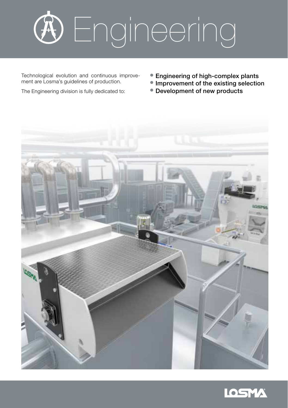

Technological evolution and continuous improvement are Losma's quidelines of production.

• Engineering of high-complex plants

- Improvement of the existing selection
- Development of new products





The Engineering division is fully dedicated to: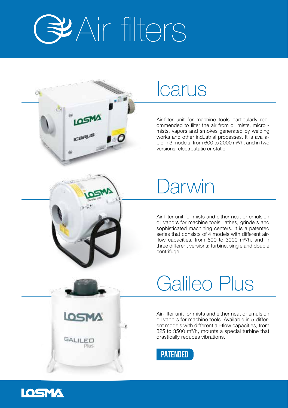



Air-filter unit for machine tools particularly recommended to filter the air from oil mists, micro mists, vapors and smokes generated by welding works and other industrial processes. It is available in 3 models, from 600 to 2000 m<sup>3</sup>/h, and in two versions: electrostatic or static.



# Darwin

Air-filter unit for mists and either neat or emulsion oil vapors for machine tools, lathes, grinders and sophisticated machining centers. It is a patented series that consists of 4 models with different airflow capacities, from 600 to 3000 m<sup>3</sup>/h, and in three different versions: turbine, single and double centrifuge.



# Galileo Plus

Air-filter unit for mists and either neat or emulsion oil vapors for machine tools. Available in 5 different models with different air-flow capacities, from 325 to 3500 m3/h, mounts a special turbine that drastically reduces vibrations.



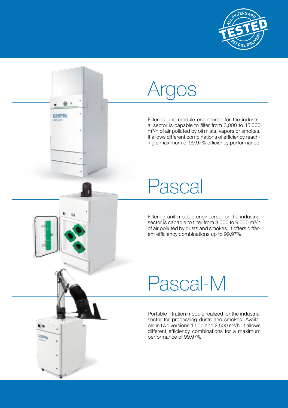

# Argos

**MEROL** saccos

Filtering unit module engineered for the industrial sector is capable to filter from 3,000 to 15,000 m3 /h of air polluted by oil mists, vapors or smokes. It allows different combinations of efficiency reaching a maximum of 99.97% efficiency performance.

# Pascal

Filtering unit module engineered for the industrial sector is capable to filter from 3,000 to 9,000 m<sup>3</sup>/h of air polluted by dusts and smokes. It offers different efficiency combinations up to 99.97%.

# Pascal-M

Portable filtration module realized for the industrial sector for processing dusts and smokes. Available in two versions  $1,500$  and  $2,500$  m $\frac{3}{h}$ . It allows different efficiency combinations for a maximum performance of 99.97%.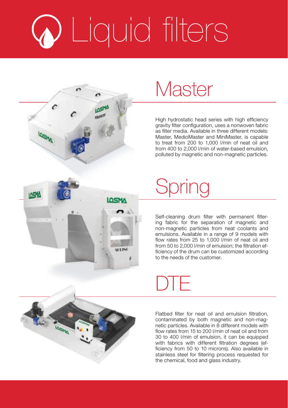# Liquid filters



High hydrostatic head series with high efficiency gravity filter configuration, uses a nonwoven fabric as filter media. Available in three different models: Master, MedioMaster and MiniMaster, is capable to treat from 200 to 1,000 l/min of neat oil and from 400 to 2,000 l/min of water-based emulsion, polluted by magnetic and non-magnetic particles.



# Spring

Self-cleaning drum filter with permanent filtering fabric for the separation of magnetic and non-magnetic particles from neat coolants and emulsions. Available in a range of 9 models with flow rates from 25 to 1,000 l/min of neat oil and from 50 to 2,000 l/min of emulsion; the filtration efficiency of the drum can be customized according to the needs of the customer.



# DTE

Flatbed filter for neat oil and emulsion filtration, contaminated by both magnetic and non-magnetic particles. Available in 8 different models with flow rates from 15 to 200 l/min of neat oil and from 30 to 400 l/min of emulsion, it can be equipped with fabrics with different filtration degrees (efficiency from 50 to 10 microns). Also available in stainless steel for filtering process requested for the chemical, food and glass industry.